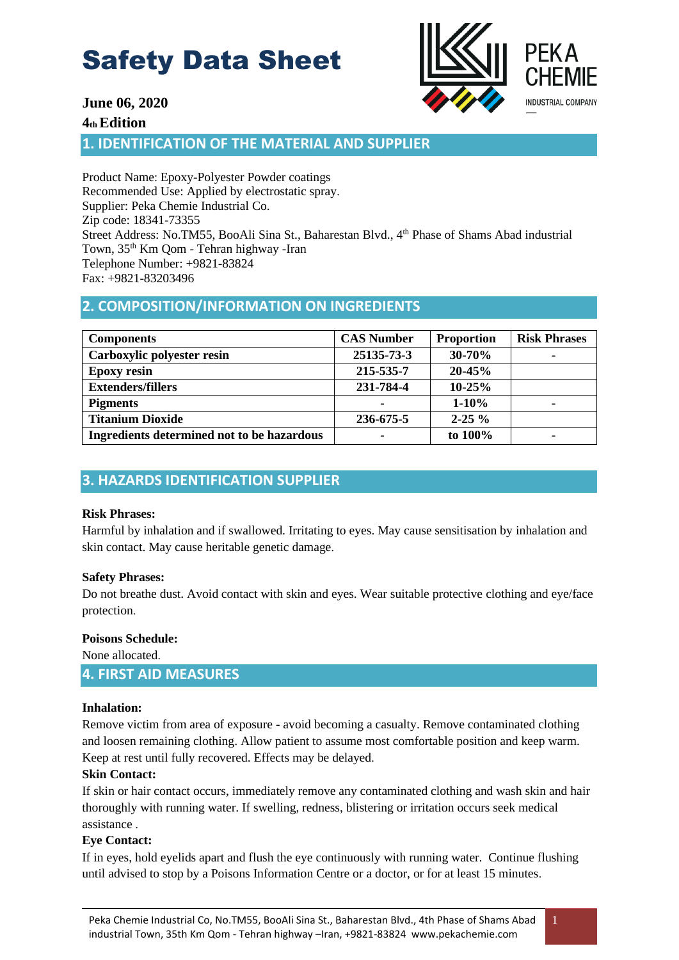

# **June 06, 2020**

## **4th Edition**

**1. IDENTIFICATION OF THE MATERIAL AND SUPPLIER** 

Product Name: Epoxy-Polyester Powder coatings Recommended Use: Applied by electrostatic spray. Supplier: Peka Chemie Industrial Co. Zip code: 18341-73355 Street Address: No.TM55, BooAli Sina St., Baharestan Blvd., 4<sup>th</sup> Phase of Shams Abad industrial Town, 35th Km Qom - Tehran highway -Iran Telephone Number: +9821-83824 Fax: +9821-83203496

# **2. COMPOSITION/INFORMATION ON INGREDIENTS**

| <b>Components</b>                          | <b>CAS Number</b> | <b>Proportion</b> | <b>Risk Phrases</b> |
|--------------------------------------------|-------------------|-------------------|---------------------|
| Carboxylic polyester resin                 | 25135-73-3        | $30 - 70%$        | ۰                   |
| <b>Epoxy resin</b>                         | 215-535-7         | $20 - 45%$        |                     |
| <b>Extenders/fillers</b>                   | 231-784-4         | $10 - 25%$        |                     |
| <b>Pigments</b>                            |                   | $1 - 10%$         | -                   |
| <b>Titanium Dioxide</b>                    | 236-675-5         | $2 - 25 \%$       |                     |
| Ingredients determined not to be hazardous |                   | to 100%           |                     |

# **3. HAZARDS IDENTIFICATION SUPPLIER**

## **Risk Phrases:**

Harmful by inhalation and if swallowed. Irritating to eyes. May cause sensitisation by inhalation and skin contact. May cause heritable genetic damage .

## **Safety Phrases:**

Do not breathe dust. Avoid contact with skin and eyes. Wear suitable protective clothing and eye/face protection.

## **Poisons Schedule:**

None allocated.

# **4. FIRST AID MEASURES**

## **Inhalation:**

Remove victim from area of exposure - avoid becoming a casualty. Remove contaminated clothing and loosen remaining clothing. Allow patient to assume most comfortable position and keep warm. Keep at rest until fully recovered. Effects may be delayed.

## **Skin Contact:**

If skin or hair contact occurs, immediately remove any contaminated clothing and wash skin and hair thoroughly with running water. If swelling, redness, blistering or irritation occurs seek medical assistance .

## Eve Contact:

If in eyes, hold eyelids apart and flush the eye continuously with running water. Continue flushing until advised to stop by a Poisons Information Centre or a doctor, or for at least 15 minutes.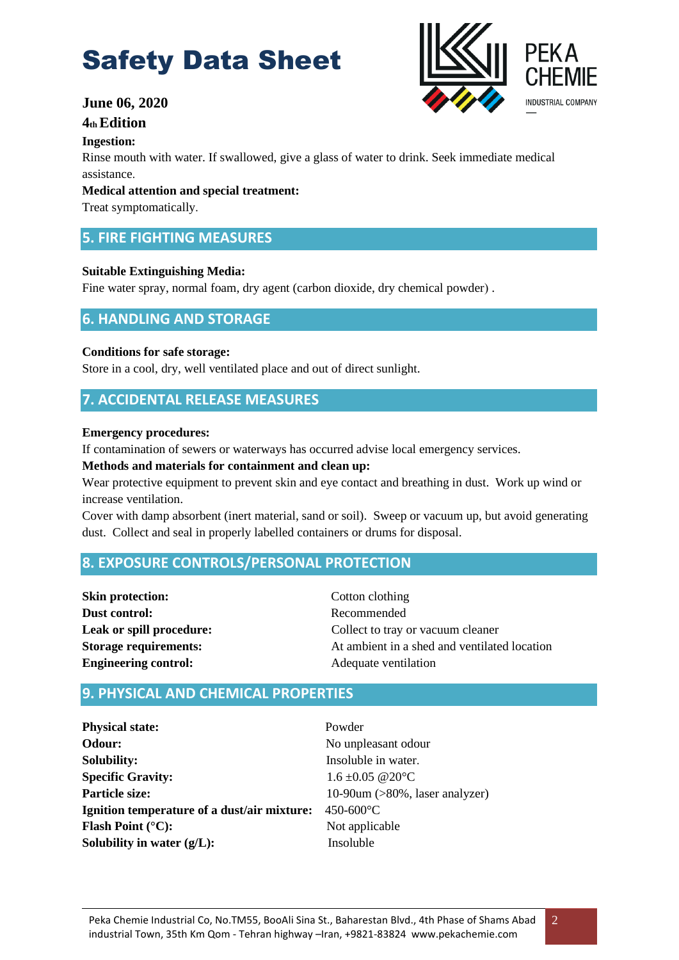# **June 06, 2020**

## **4th Edition**

#### **Ingestion:**

Rinse mouth with water. If swallowed, give a glass of water to drink. Seek immediate medical assistance.

#### **Medical attention and special treatment :**

Treat symptomatically.

# **5. FIRE FIGHTING MEASURES**

#### **Suitable Extinguishing Media :**

Fine water spray, normal foam, dry agent (carbon dioxide, dry chemical powder).

# **6. HANDLING AND STORAGE**

#### **Conditions for safe storage :**

Store in a cool, dry, well ventilated place and out of direct sunlight.

# **7. ACCIDENTAL RELEASE MEASURES**

#### **Emergency procedures:**

If contamination of sewers or waterways has occurred advise local emergency services.

#### **Methods and materials for containment and clean up:**

Wear protective equipment to prevent skin and eye contact and breathing in dust. Work up wind or increase ventilation.

Cover with damp absorbent (inert material, sand or soil). Sweep or vacuum up, but avoid generating dust. Collect and seal in properly labelled containers or drums for disposal.

# **8. EXPOSURE CONTROLS/PERSONAL PROTECTION**

| <b>Skin protection:</b>      |
|------------------------------|
| Dust control:                |
| Leak or spill procedure:     |
| <b>Storage requirements:</b> |
| <b>Engineering control:</b>  |

**Cotton clothing Dust control:** Recommended Collect to tray or vacuum cleaner At ambient in a shed and ventilated location **Engineering control:** Adequate ventilation

# **9. PHYSICAL AND CHEMICAL PROPERTIES**

**Physical state:** Powder **Odour:** No unpleasant odour **Solubility:** Insoluble in water. **Specific Gravity:** 1.6 ±0.05 @20°C **Particle size:** 10-90um (>80%, laser analyzer) **Ignition temperature of a dust/air mixture:** 450-600°C **Flash Point** (°C): Not applicable **Solubility in water (g/L):** Insoluble



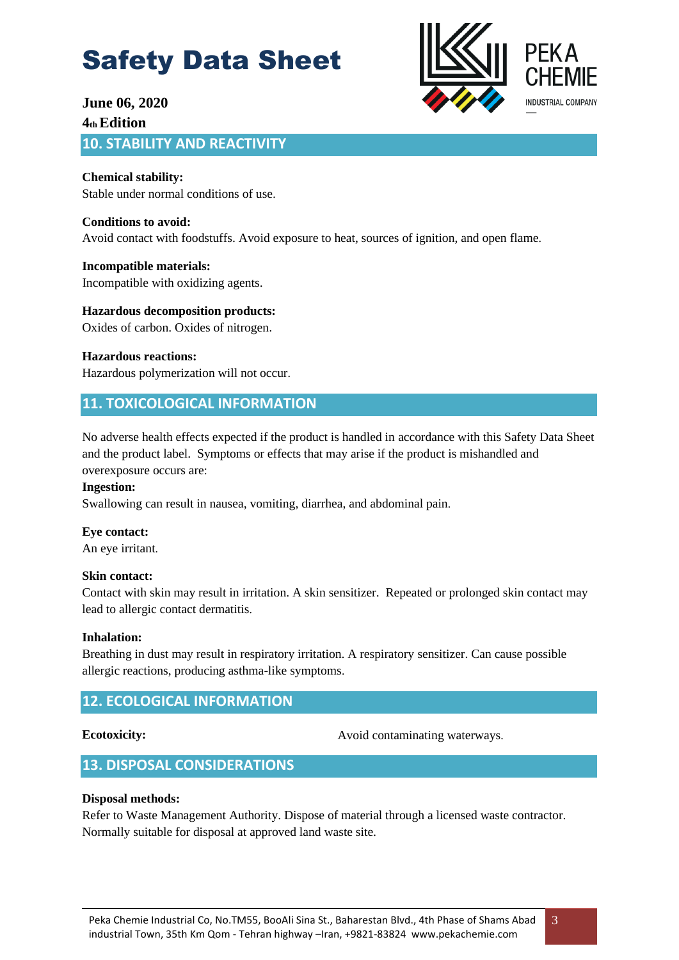

# **June 06, 2020 4th Edition 10. STABILITY AND REACTIVITY**

**Chemical stability:**  Stable under normal conditions of use.

**Conditions to avoid:**  Avoid contact with foodstuffs. Avoid exposure to heat, sources of ignition, and open flame .

**Incompatible materials:**  Incompatible with oxidizing agents.

**Hazardous decomposition products :** Oxides of carbon. Oxides of nitrogen.

**Hazardous reactions:**  Hazardous polymerization will not occur.

# **11. TOXICOLOGICAL INFORMATION**

No adverse health effects expected if the product is handled in accordance with this Safety Data Sheet and the product label. Symptoms or effects that may arise if the product is mishandled and overexposure occurs are :

## **Ingestion:**

Swallowing can result in nausea, vomiting, diarrhea, and abdominal pain.

## **Eye contact:**

An eye irritant.

## **Skin contact:**

Contact with skin may result in irritation. A skin sensitizer. Repeated or prolonged skin contact may lead to allergic contact dermatitis .

## **Inhalation:**

Breathing in dust may result in respiratory irritation. A respiratory sensitizer. Can cause possible allergic reactions, producing asthma-like symptoms .

# **12. ECOLOGICAL INFORMATION**

#### **Ecotoxicity:**

Avoid contaminating waterways.

# **13. DISPOSAL CONSIDERATIONS**

## **Disposal methods:**

Refer to Waste Management Authority. Dispose of material through a licensed waste contractor. Normally suitable for disposal at approved land waste site.